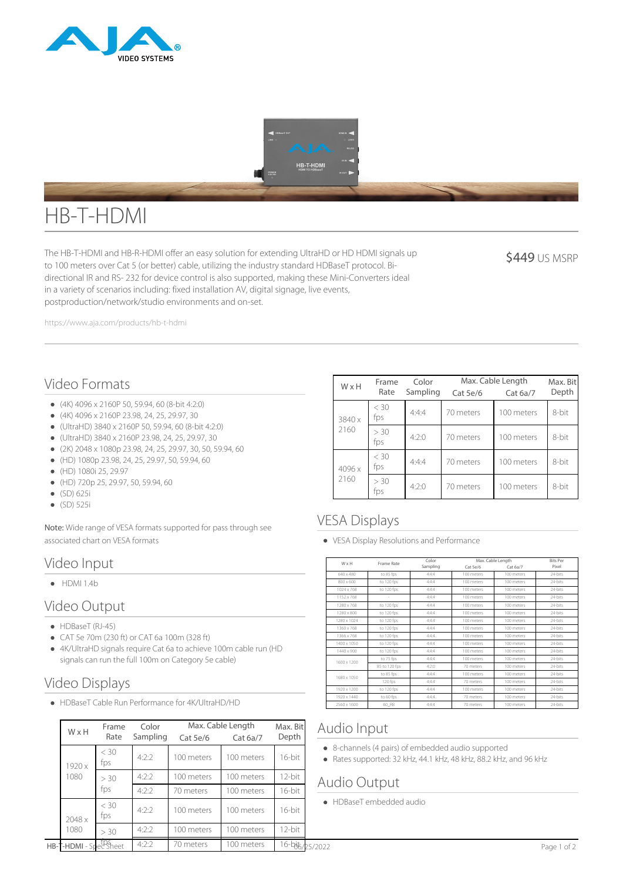



# HB-T-HDMI

The HB-T-HDMI and HB-R-HDMI offer an easy solution for extending UltraHD or HD HDMI signals up to 100 meters over Cat 5 (or better) cable, utilizing the industry standard HDBaseT protocol. Bidirectional IR and RS- 232 for device control is also supported, making these Mini-Converters ideal in a variety of scenarios including: fixed installation AV, digital signage, live events, postproduction/network/studio environments and on-set.

**\$449 US MSRP** 

https://www.aja.com/products/hb-t-hdmi

## Video Formats

- (4K) 4096 x 2160P 50, 59.94, 60 (8-bit 4:2:0)
- (4K) 4096 x 2160P 23.98, 24, 25, 29.97, 30
- (UltraHD) 3840 x 2160P 50, 59.94, 60 (8-bit 4:2:0)
- (UltraHD) 3840 x 2160P 23.98, 24, 25, 29.97, 30
- (2K) 2048 x 1080p 23.98, 24, 25, 29.97, 30, 50, 59.94, 60
- (HD) 1080p 23.98, 24, 25, 29.97, 50, 59.94, 60
- (HD) 1080i 25, 29.97
- (HD) 720p 25, 29.97, 50, 59.94, 60
- (SD) 625i
- (SD) 525i

Note: Wide range of VESA formats supported for pass through see associated chart on VESA formats

#### Video Input

 $\bullet$  HDMI 1.4b

#### Video Output

- HDBaseT (RJ-45)
- CAT 5e 70m (230 ft) or CAT 6a 100m (328 ft)
- 4K/UltraHD signals require Cat 6a to achieve 100m cable run (HD signals can run the full 100m on Category 5e cable)

## Video Displays

HDBaseT Cable Run Performance for 4K/UltraHD/HD

|  | WxH                                  | Frame<br>Rate | Color<br>Sampling | Max. Cable Length<br>Cat 5e/6<br>Cat 6a/7 |            | Max. Bit<br>Depth                | Audio Input                                                                                                             |  |
|--|--------------------------------------|---------------|-------------------|-------------------------------------------|------------|----------------------------------|-------------------------------------------------------------------------------------------------------------------------|--|
|  | 1920 x<br>1080                       | $<$ 30<br>fps | 4:2:2             | 100 meters                                | 100 meters | 16-bit                           | • 8-channels (4 pairs) of embedded audio supported<br>• Rates supported: 32 kHz, 44.1 kHz, 48 kHz, 88.2 kHz, and 96 kHz |  |
|  |                                      | > 30<br>fps   | 4:2:2             | 100 meters                                | 100 meters | 12-bit                           | Audio Output                                                                                                            |  |
|  |                                      |               | 4:2:2             | 70 meters                                 | 100 meters | 16-bit                           |                                                                                                                         |  |
|  | 2048 x                               | $<$ 30<br>fps | 4:2:2             | 100 meters                                | 100 meters | 16-bit                           | • HDBaseT embedded audio                                                                                                |  |
|  | 1080                                 | > 30          | 4:2:2             | 100 meters                                | 100 meters | 12-bit                           |                                                                                                                         |  |
|  | HB-T-HDMI - Spec <sup>tps</sup> heet |               | 4:2:2             | 70 meters                                 | 100 meters | $16 - \frac{1}{6} + \frac{1}{6}$ | Page 1 of 2                                                                                                             |  |

| WxH    | Frame<br>Rate | Color<br>Sampling | Max. Cable Length<br>$Cat$ 5e/6 | Max. Bit<br>Depth      |       |
|--------|---------------|-------------------|---------------------------------|------------------------|-------|
| 3840 x | < 30<br>fps   | 4:4:4             | 70 meters                       | Cat 6a/7<br>100 meters | 8-bit |
| 2160   | > 30<br>fps   | 4:2:0             | 70 meters                       | 100 meters             | 8-bit |
| 4096 x | $<$ 30<br>fps | 4:4:4             | 70 meters                       | 100 meters             | 8-bit |
| 2160   | > 30<br>tps   | 4:2:0             | 70 meters                       | 100 meters             | 8-bit |

## VESA Displays

VESA Display Resolutions and Performance

| WxH         | Frame Rate    | Color     | Max. Cable Length |            | <b>Bits Per</b> |
|-------------|---------------|-----------|-------------------|------------|-----------------|
|             |               | Sampling  | Cat 5e/6          | Cat 6a/7   | Pixel           |
| 640 x 480   | to 85 fps     | 4.4.4     | 100 meters        | 100 meters | 24-hits         |
| 800 x 600   | to 120 fps    | 4:4:4     | 100 meters        | 100 meters | 24-hits         |
| 1024 x 768  | to 120 fps    | 4.4.4     | 100 meters        | 100 meters | 24-hits         |
| 1152 x 768  | ×             | 4:4:4     | 100 meters        | 100 meters | 24-bits         |
| 1280 x 768  | to 120 fps    | 4.4.4     | 100 meters        | 100 meters | 24-bits         |
| 1280 x 800  | to 120 fps    | 4.4.4     | 100 meters        | 100 meters | 24-bits         |
| 1280 x 1024 | to 120 fps    | 4.4.4     | 100 meters        | 100 meters | 24-hits         |
| 1360 x 768  | to 120 fps    | 4.4.4     | 100 meters        | 100 meters | 24-bits         |
| 1366 x 768  | to 120 fps    | 4.4.4     | 100 meters        | 100 meters | 24-hits         |
| 1400 x 1050 | to 120 fps    | 4.4.4     | 100 meters        | 100 meters | 24-hits         |
| 1440 x 900  | to 120 fps    | 4.4.4     | 100 meters        | 100 meters | 24-hits         |
| 1600 x 1200 | to 75 fps     | 4.4.4     | 100 meters        | 100 meters | 24-hits         |
|             | 85 to 120 fps | $4.2 - 0$ | 70 meters         | 100 meters | 24-hits         |
| 1680 x 1050 | to 85 fps     | 4.4.4     | 100 meters        | 100 meters | 24-bits         |
|             | 120 fps       | 4.4.4     | 70 meters         | 100 meters | 24-hits         |
| 1920 x 1200 | to 120 fps    | 4.4.4     | 100 meters        | 100 meters | 24-hits         |
| 1920 x 1440 | to 60 fps     | 4.4.4     | 70 meters         | 100 meters | 24-bits         |
| 2560 x 1600 | 60 RB         | 4.4.4     | 70 meters         | 100 meters | 24-hits         |

### Audio Input

- 8-channels (4 pairs) of embedded audio supported
- Rates supported: 32 kHz, 44.1 kHz, 48 kHz, 88.2 kHz, and 96 kHz

### Audio Output